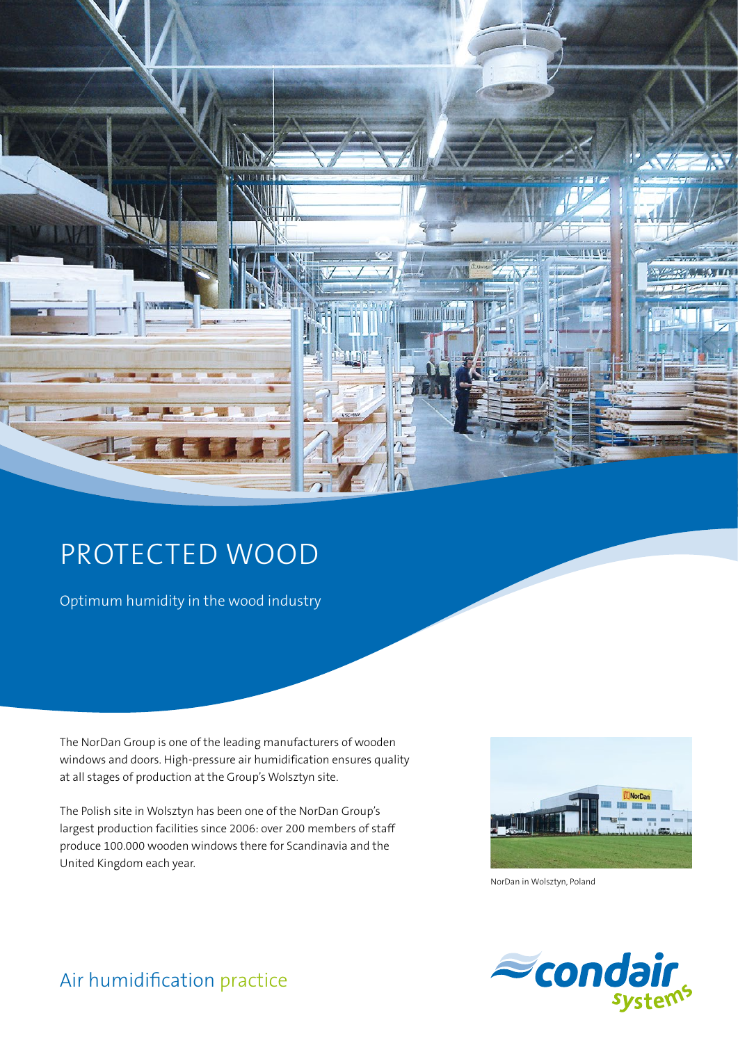

# PROTECTED WOOD

Optimum humidity in the wood industry

The NorDan Group is one of the leading manufacturers of wooden windows and doors. High-pressure air humidification ensures quality at all stages of production at the Group's Wolsztyn site.

The Polish site in Wolsztyn has been one of the NorDan Group's largest production facilities since 2006: over 200 members of staff produce 100.000 wooden windows there for Scandinavia and the United Kingdom each year.



NorDan in Wolsztyn, Poland



### Air humidification practice